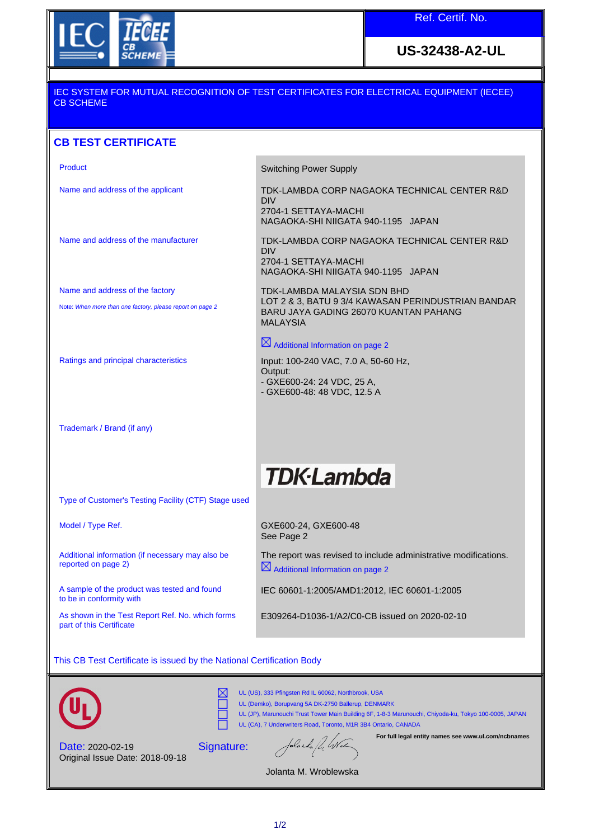

**US-32438-A2-UL**

### IEC SYSTEM FOR MUTUAL RECOGNITION OF TEST CERTIFICATES FOR ELECTRICAL EQUIPMENT (IECEE) CB SCHEME

# **CB TEST CERTIFICATE**

Name and address of the factory

Note: When more than one factory, please report on page 2

Trademark / Brand (if any)

Product **Switching Power Supply** 

Name and address of the applicant TDK-LAMBDA CORP NAGAOKA TECHNICAL CENTER R&D DIV 2704-1 SETTAYA-MACHI

NAGAOKA-SHI NIIGATA 940-1195 JAPAN

Name and address of the manufacturer TDK-LAMBDA CORP NAGAOKA TECHNICAL CENTER R&D DIV 2704-1 SETTAYA-MACHI NAGAOKA-SHI NIIGATA 940-1195 JAPAN

> TDK-LAMBDA MALAYSIA SDN BHD LOT 2 & 3, BATU 9 3/4 KAWASAN PERINDUSTRIAN BANDAR BARU JAYA GADING 26070 KUANTAN PAHANG MALAYSIA

 $\boxtimes$  Additional Information on page 2

Ratings and principal characteristics Input: 100-240 VAC, 7.0 A, 50-60 Hz, Output: - GXE600-24: 24 VDC, 25 A, - GXE600-48: 48 VDC, 12.5 A

# **TDK-Lambda**

Type of Customer's Testing Facility (CTF) Stage used

Additional information (if necessary may also be reported on page 2)

A sample of the product was tested and found to be in conformity with

As shown in the Test Report Ref. No. which forms part of this Certificate

Model / Type Ref. The COME CONSECTED ASSESSED A GALACTER GALACTER CONTROLL AND GALACTER OF GALACTER CONTROLL OF GALACTER CONTROLL OF GALACTER CONTROLL OF GALACTER CONTROLL OF GALACTER CONTROLL OF GALACTER CONTROLL OF GALAC See Page 2

> The report was revised to include administrative modifications.  $\boxtimes$  Additional Information on page 2

IEC 60601-1:2005/AMD1:2012, IEC 60601-1:2005

E309264-D1036-1/A2/C0-CB issued on 2020-02-10

This CB Test Certificate is issued by the National Certification Body





UL (US), 333 Pfingsten Rd IL 60062, Northbrook, USA UL (Demko), Borupvang 5A DK-2750 Ballerup, DENMARK

UL (JP), Marunouchi Trust Tower Main Building 6F, 1-8-3 Marunouchi, Chiyoda-ku, Tokyo 100-0005, JAPAN UL (CA), 7 Underwriters Road, Toronto, M1R 3B4 Ontario, CANADA

Date: 2020-02-19 Original Issue Date: 2018-09-18 Signature:

Iolanda / 4 Wel

**For full legal entity names see www.ul.com/ncbnames**

Jolanta M. Wroblewska